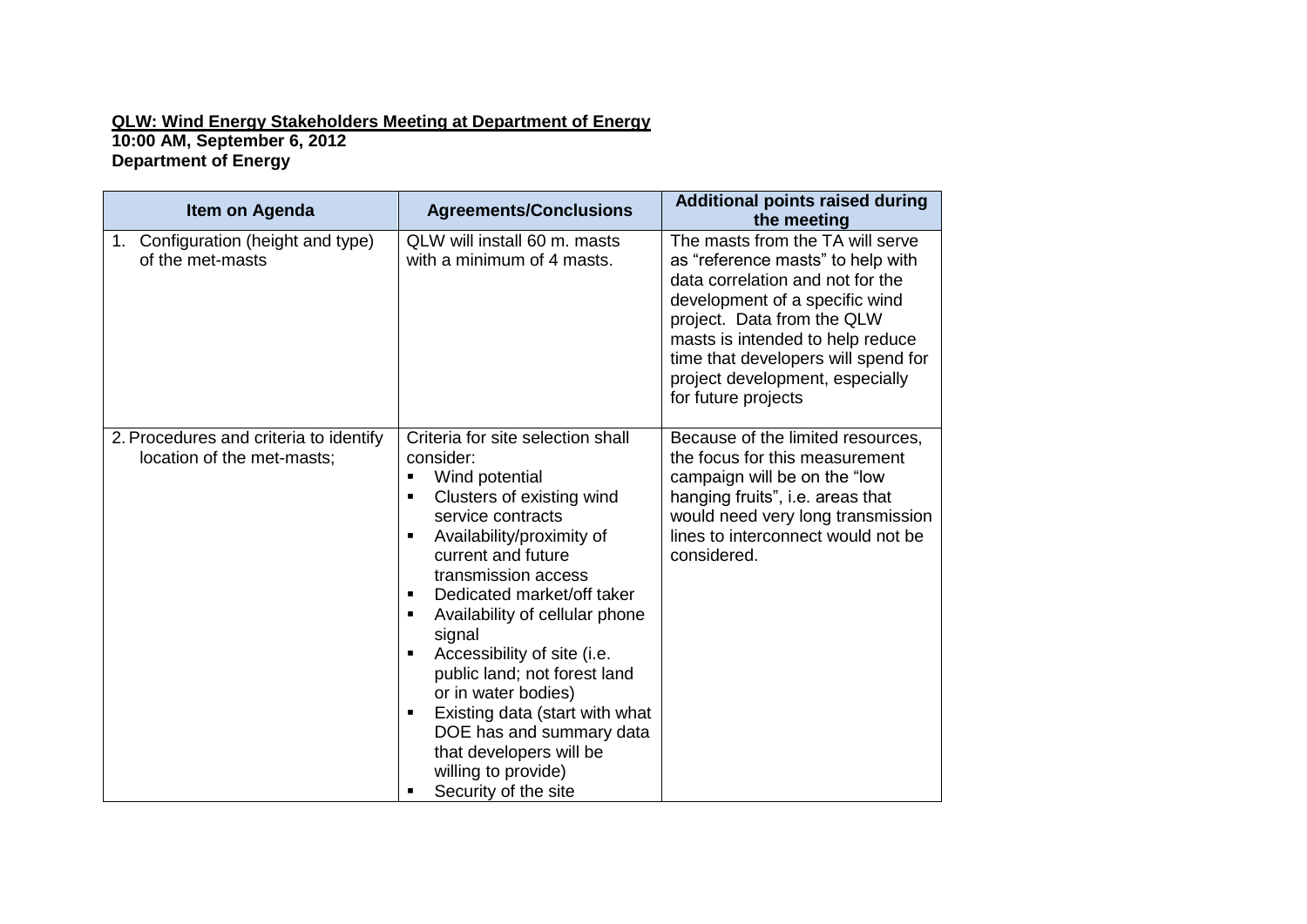## **QLW: Wind Energy Stakeholders Meeting at Department of Energy 10:00 AM, September 6, 2012 Department of Energy**

| Item on Agenda                                                       | <b>Agreements/Conclusions</b>                                                                                                                                                                                                                                                                                                                                                                                                                                                                                                                                                       | <b>Additional points raised during</b><br>the meeting                                                                                                                                                                                                                                                          |
|----------------------------------------------------------------------|-------------------------------------------------------------------------------------------------------------------------------------------------------------------------------------------------------------------------------------------------------------------------------------------------------------------------------------------------------------------------------------------------------------------------------------------------------------------------------------------------------------------------------------------------------------------------------------|----------------------------------------------------------------------------------------------------------------------------------------------------------------------------------------------------------------------------------------------------------------------------------------------------------------|
| Configuration (height and type)<br>$1_{\cdot}$<br>of the met-masts   | QLW will install 60 m. masts<br>with a minimum of 4 masts.                                                                                                                                                                                                                                                                                                                                                                                                                                                                                                                          | The masts from the TA will serve<br>as "reference masts" to help with<br>data correlation and not for the<br>development of a specific wind<br>project. Data from the QLW<br>masts is intended to help reduce<br>time that developers will spend for<br>project development, especially<br>for future projects |
| 2. Procedures and criteria to identify<br>location of the met-masts; | Criteria for site selection shall<br>consider:<br>Wind potential<br>$\blacksquare$<br>Clusters of existing wind<br>$\blacksquare$<br>service contracts<br>Availability/proximity of<br>٠<br>current and future<br>transmission access<br>Dedicated market/off taker<br>٠<br>Availability of cellular phone<br>٠<br>signal<br>Accessibility of site (i.e.<br>٠<br>public land; not forest land<br>or in water bodies)<br>Existing data (start with what<br>٠<br>DOE has and summary data<br>that developers will be<br>willing to provide)<br>Security of the site<br>$\blacksquare$ | Because of the limited resources,<br>the focus for this measurement<br>campaign will be on the "low<br>hanging fruits", i.e. areas that<br>would need very long transmission<br>lines to interconnect would not be<br>considered.                                                                              |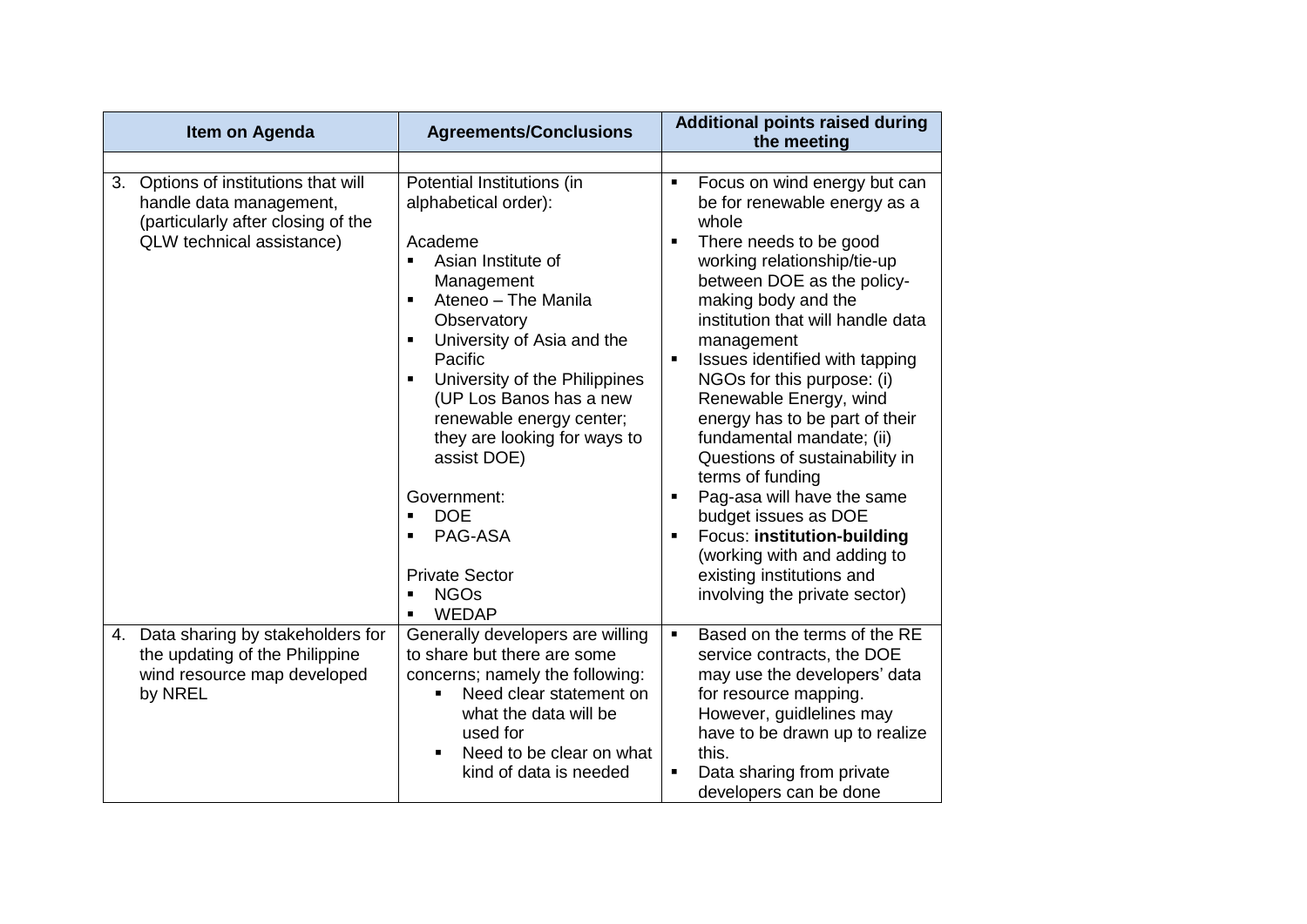| Item on Agenda                                                                                                                     | <b>Agreements/Conclusions</b>                                                                                                                                                                                                                                                                                                                                                                                                                                                                                                                                           | <b>Additional points raised during</b><br>the meeting                                                                                                                                                                                                                                                                                                                                                                                                                                                                                                                                                                                                  |
|------------------------------------------------------------------------------------------------------------------------------------|-------------------------------------------------------------------------------------------------------------------------------------------------------------------------------------------------------------------------------------------------------------------------------------------------------------------------------------------------------------------------------------------------------------------------------------------------------------------------------------------------------------------------------------------------------------------------|--------------------------------------------------------------------------------------------------------------------------------------------------------------------------------------------------------------------------------------------------------------------------------------------------------------------------------------------------------------------------------------------------------------------------------------------------------------------------------------------------------------------------------------------------------------------------------------------------------------------------------------------------------|
| 3. Options of institutions that will<br>handle data management,<br>(particularly after closing of the<br>QLW technical assistance) | Potential Institutions (in<br>alphabetical order):<br>Academe<br>Asian Institute of<br>$\blacksquare$<br>Management<br>Ateneo - The Manila<br>$\blacksquare$<br>Observatory<br>University of Asia and the<br>$\blacksquare$<br>Pacific<br>University of the Philippines<br>$\blacksquare$<br>(UP Los Banos has a new<br>renewable energy center;<br>they are looking for ways to<br>assist DOE)<br>Government:<br><b>DOE</b><br>$\blacksquare$<br>PAG-ASA<br>$\blacksquare$<br><b>Private Sector</b><br><b>NGOs</b><br>$\blacksquare$<br><b>WEDAP</b><br>$\blacksquare$ | Focus on wind energy but can<br>٠<br>be for renewable energy as a<br>whole<br>There needs to be good<br>working relationship/tie-up<br>between DOE as the policy-<br>making body and the<br>institution that will handle data<br>management<br>Issues identified with tapping<br>NGOs for this purpose: (i)<br>Renewable Energy, wind<br>energy has to be part of their<br>fundamental mandate; (ii)<br>Questions of sustainability in<br>terms of funding<br>Pag-asa will have the same<br>٠<br>budget issues as DOE<br>Focus: institution-building<br>Ξ<br>(working with and adding to<br>existing institutions and<br>involving the private sector) |
| 4. Data sharing by stakeholders for<br>the updating of the Philippine<br>wind resource map developed<br>by NREL                    | Generally developers are willing<br>to share but there are some<br>concerns; namely the following:<br>Need clear statement on<br>what the data will be<br>used for<br>Need to be clear on what<br>kind of data is needed                                                                                                                                                                                                                                                                                                                                                | Based on the terms of the RE<br>٠<br>service contracts, the DOE<br>may use the developers' data<br>for resource mapping.<br>However, guidlelines may<br>have to be drawn up to realize<br>this.<br>Data sharing from private<br>Ξ<br>developers can be done                                                                                                                                                                                                                                                                                                                                                                                            |